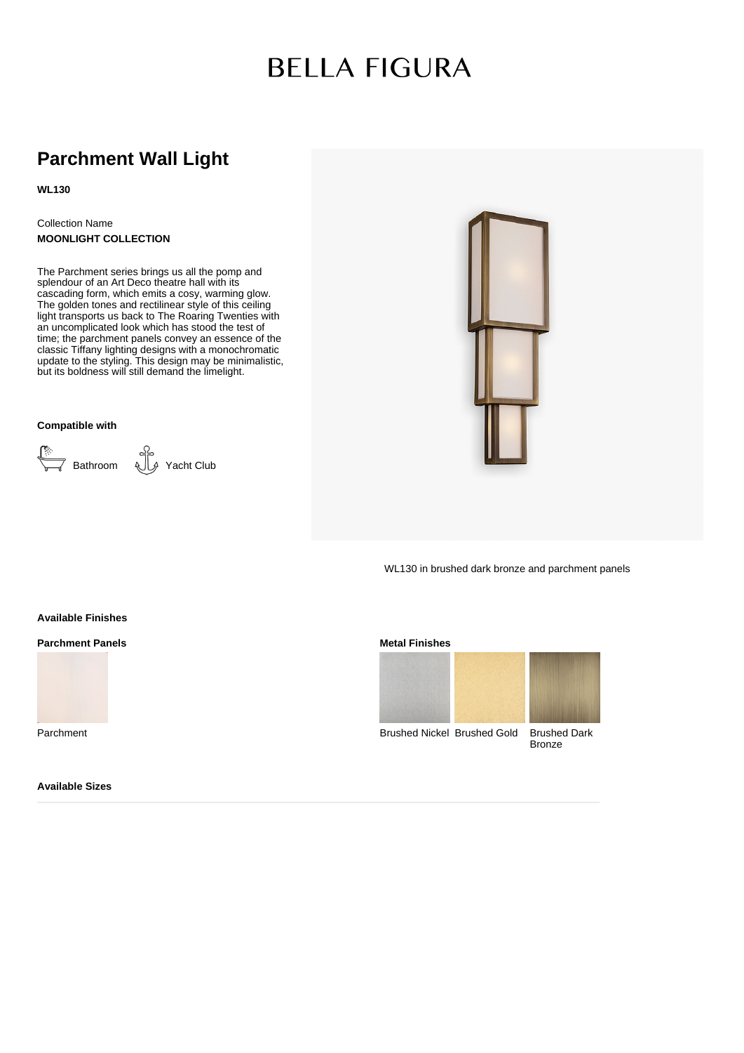# **BELLA FIGURA**

### **Parchment Wall Light**

**WL130**

Collection Name **MOONLIGHT COLLECTION**

The Parchment series brings us all the pomp and splendour of an Art Deco theatre hall with its cascading form, which emits a cosy, warming glow. The golden tones and rectilinear style of this ceiling light transports us back to The Roaring Twenties with an uncomplicated look which has stood the test of time; the parchment panels convey an essence of the classic Tiffany lighting designs with a monochromatic update to the styling. This design may be minimalistic, but its boldness will still demand the limelight.

#### **Compatible with**



WL130 in brushed dark bronze and parchment panels

#### **Metal Finishes**



**Bronze** 

**Available Sizes**

Parchment

**Available Finishes Parchment Panels**